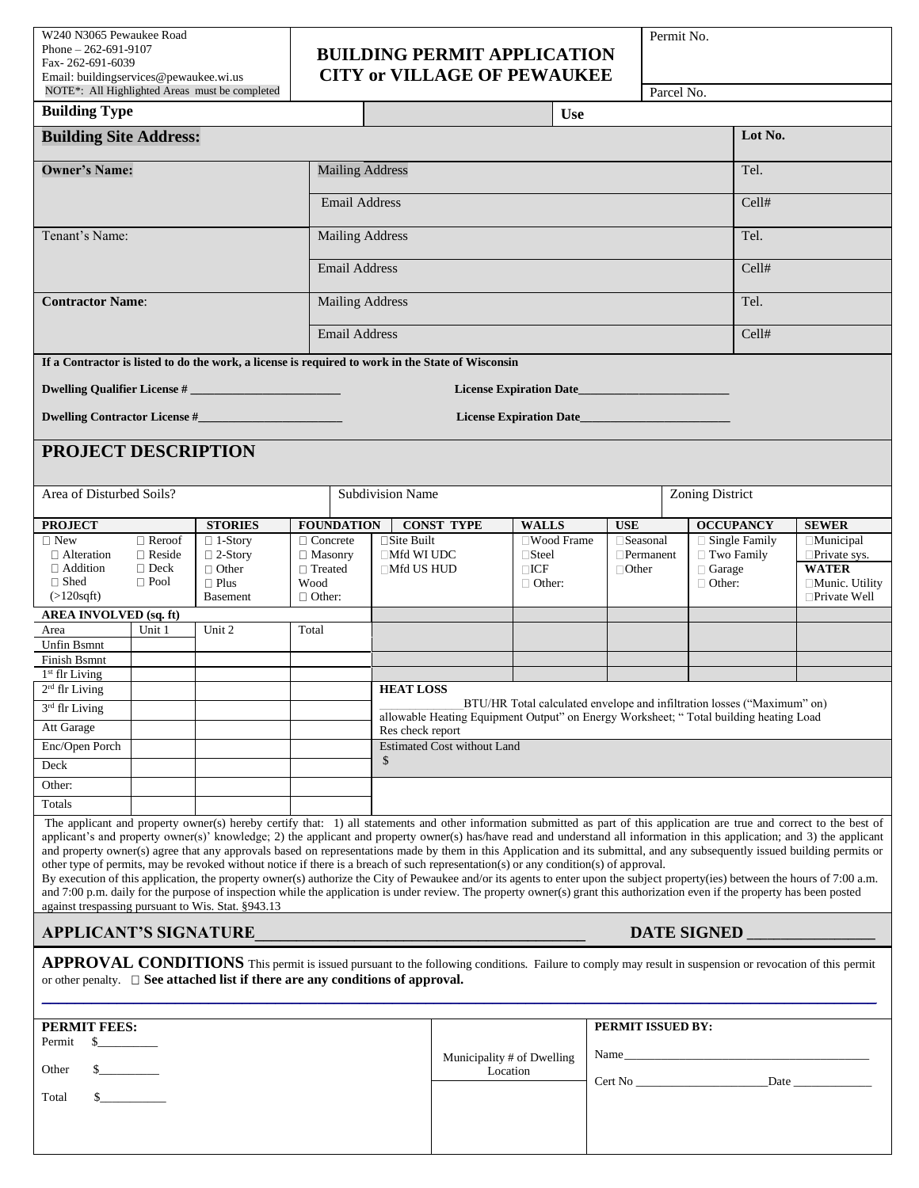W240 N3065 Pewaukee Road Phone – 262-691-9107 Fax- 262-691-6039 Email: buildingservices@pewaukee.wi.us

## **BUILDING PERMIT APPLICATION**

Permit No.

| Fax-262-691-6039<br>Email: buildingservices@pewaukee.wi.us<br>NOTE*: All Highlighted Areas must be completed                                                                                                                                   |                                |                                                                                                                                                                                                                                                                                                                                                                                                                                                                                                                                                                                                                                                                                                                                                                                                                                                                                                                                                                                                                                                                                                           | <b>BUILDING PERMIT APPLICATION</b><br><b>CITY or VILLAGE OF PEWAUKEE</b> |                                                                                                                                                                  |                                        |                                                                                             |  | Parcel No.       |                                 |              |                                         |  |
|------------------------------------------------------------------------------------------------------------------------------------------------------------------------------------------------------------------------------------------------|--------------------------------|-----------------------------------------------------------------------------------------------------------------------------------------------------------------------------------------------------------------------------------------------------------------------------------------------------------------------------------------------------------------------------------------------------------------------------------------------------------------------------------------------------------------------------------------------------------------------------------------------------------------------------------------------------------------------------------------------------------------------------------------------------------------------------------------------------------------------------------------------------------------------------------------------------------------------------------------------------------------------------------------------------------------------------------------------------------------------------------------------------------|--------------------------------------------------------------------------|------------------------------------------------------------------------------------------------------------------------------------------------------------------|----------------------------------------|---------------------------------------------------------------------------------------------|--|------------------|---------------------------------|--------------|-----------------------------------------|--|
| <b>Building Type</b>                                                                                                                                                                                                                           |                                | <b>Use</b>                                                                                                                                                                                                                                                                                                                                                                                                                                                                                                                                                                                                                                                                                                                                                                                                                                                                                                                                                                                                                                                                                                |                                                                          |                                                                                                                                                                  |                                        |                                                                                             |  |                  |                                 |              |                                         |  |
| <b>Building Site Address:</b>                                                                                                                                                                                                                  |                                |                                                                                                                                                                                                                                                                                                                                                                                                                                                                                                                                                                                                                                                                                                                                                                                                                                                                                                                                                                                                                                                                                                           |                                                                          |                                                                                                                                                                  |                                        |                                                                                             |  | Lot No.          |                                 |              |                                         |  |
|                                                                                                                                                                                                                                                |                                |                                                                                                                                                                                                                                                                                                                                                                                                                                                                                                                                                                                                                                                                                                                                                                                                                                                                                                                                                                                                                                                                                                           |                                                                          |                                                                                                                                                                  |                                        |                                                                                             |  |                  |                                 |              |                                         |  |
| <b>Owner's Name:</b>                                                                                                                                                                                                                           |                                | <b>Mailing Address</b>                                                                                                                                                                                                                                                                                                                                                                                                                                                                                                                                                                                                                                                                                                                                                                                                                                                                                                                                                                                                                                                                                    |                                                                          |                                                                                                                                                                  |                                        |                                                                                             |  | Tel.             |                                 |              |                                         |  |
|                                                                                                                                                                                                                                                |                                | <b>Email Address</b>                                                                                                                                                                                                                                                                                                                                                                                                                                                                                                                                                                                                                                                                                                                                                                                                                                                                                                                                                                                                                                                                                      |                                                                          |                                                                                                                                                                  |                                        |                                                                                             |  | Cell#            |                                 |              |                                         |  |
|                                                                                                                                                                                                                                                |                                |                                                                                                                                                                                                                                                                                                                                                                                                                                                                                                                                                                                                                                                                                                                                                                                                                                                                                                                                                                                                                                                                                                           |                                                                          |                                                                                                                                                                  |                                        |                                                                                             |  |                  |                                 |              |                                         |  |
| Tenant's Name:                                                                                                                                                                                                                                 |                                |                                                                                                                                                                                                                                                                                                                                                                                                                                                                                                                                                                                                                                                                                                                                                                                                                                                                                                                                                                                                                                                                                                           |                                                                          | <b>Mailing Address</b>                                                                                                                                           |                                        |                                                                                             |  |                  |                                 | Tel.         |                                         |  |
|                                                                                                                                                                                                                                                |                                | <b>Email Address</b>                                                                                                                                                                                                                                                                                                                                                                                                                                                                                                                                                                                                                                                                                                                                                                                                                                                                                                                                                                                                                                                                                      |                                                                          |                                                                                                                                                                  |                                        |                                                                                             |  | Cell#            |                                 |              |                                         |  |
|                                                                                                                                                                                                                                                |                                |                                                                                                                                                                                                                                                                                                                                                                                                                                                                                                                                                                                                                                                                                                                                                                                                                                                                                                                                                                                                                                                                                                           |                                                                          |                                                                                                                                                                  |                                        |                                                                                             |  |                  | Tel.                            |              |                                         |  |
| <b>Contractor Name:</b>                                                                                                                                                                                                                        |                                | <b>Mailing Address</b>                                                                                                                                                                                                                                                                                                                                                                                                                                                                                                                                                                                                                                                                                                                                                                                                                                                                                                                                                                                                                                                                                    |                                                                          |                                                                                                                                                                  |                                        |                                                                                             |  |                  |                                 |              |                                         |  |
|                                                                                                                                                                                                                                                |                                | <b>Email Address</b>                                                                                                                                                                                                                                                                                                                                                                                                                                                                                                                                                                                                                                                                                                                                                                                                                                                                                                                                                                                                                                                                                      |                                                                          |                                                                                                                                                                  |                                        |                                                                                             |  | Cell#            |                                 |              |                                         |  |
|                                                                                                                                                                                                                                                |                                | If a Contractor is listed to do the work, a license is required to work in the State of Wisconsin                                                                                                                                                                                                                                                                                                                                                                                                                                                                                                                                                                                                                                                                                                                                                                                                                                                                                                                                                                                                         |                                                                          |                                                                                                                                                                  |                                        |                                                                                             |  |                  |                                 |              |                                         |  |
|                                                                                                                                                                                                                                                |                                |                                                                                                                                                                                                                                                                                                                                                                                                                                                                                                                                                                                                                                                                                                                                                                                                                                                                                                                                                                                                                                                                                                           |                                                                          |                                                                                                                                                                  |                                        | <b>License Expiration Date</b>                                                              |  |                  |                                 |              |                                         |  |
|                                                                                                                                                                                                                                                |                                |                                                                                                                                                                                                                                                                                                                                                                                                                                                                                                                                                                                                                                                                                                                                                                                                                                                                                                                                                                                                                                                                                                           |                                                                          |                                                                                                                                                                  |                                        |                                                                                             |  |                  |                                 |              |                                         |  |
| License Expiration Date                                                                                                                                                                                                                        |                                |                                                                                                                                                                                                                                                                                                                                                                                                                                                                                                                                                                                                                                                                                                                                                                                                                                                                                                                                                                                                                                                                                                           |                                                                          |                                                                                                                                                                  |                                        |                                                                                             |  |                  |                                 |              |                                         |  |
| <b>PROJECT DESCRIPTION</b>                                                                                                                                                                                                                     |                                |                                                                                                                                                                                                                                                                                                                                                                                                                                                                                                                                                                                                                                                                                                                                                                                                                                                                                                                                                                                                                                                                                                           |                                                                          |                                                                                                                                                                  |                                        |                                                                                             |  |                  |                                 |              |                                         |  |
| Area of Disturbed Soils?                                                                                                                                                                                                                       |                                |                                                                                                                                                                                                                                                                                                                                                                                                                                                                                                                                                                                                                                                                                                                                                                                                                                                                                                                                                                                                                                                                                                           |                                                                          | Subdivision Name                                                                                                                                                 |                                        |                                                                                             |  | Zoning District  |                                 |              |                                         |  |
| <b>STORIES</b><br><b>PROJECT</b>                                                                                                                                                                                                               |                                |                                                                                                                                                                                                                                                                                                                                                                                                                                                                                                                                                                                                                                                                                                                                                                                                                                                                                                                                                                                                                                                                                                           | <b>FOUNDATION</b><br><b>CONST TYPE</b>                                   |                                                                                                                                                                  |                                        | <b>USE</b>                                                                                  |  | <b>OCCUPANCY</b> |                                 | <b>SEWER</b> |                                         |  |
| $\Box$ New<br>$\Box$ Alteration                                                                                                                                                                                                                | $\Box$ Reroof<br>$\Box$ Reside | $\Box$ 1-Story<br>$\Box$ 2-Story                                                                                                                                                                                                                                                                                                                                                                                                                                                                                                                                                                                                                                                                                                                                                                                                                                                                                                                                                                                                                                                                          | □ Concrete<br>$\square$ Site Built<br>$\Box$ Mfd WI UDC                  |                                                                                                                                                                  |                                        | □Wood Frame<br>□ Seasonal<br>$\Box$ Steel<br>$\Box$ Permanent<br>$\Box$ ICF<br>$\Box$ Other |  |                  | □ Single Family<br>□ Two Family |              | <b>Municipal</b><br>$\Box$ Private sys. |  |
| $\Box$ Addition                                                                                                                                                                                                                                | $\Box$ Deck                    | $\Box$ Other                                                                                                                                                                                                                                                                                                                                                                                                                                                                                                                                                                                                                                                                                                                                                                                                                                                                                                                                                                                                                                                                                              | $\Box$ Masonry<br>□ Treated<br>$\Box$ Mfd US HUD                         |                                                                                                                                                                  |                                        |                                                                                             |  |                  | $\Box$ Garage                   |              | <b>WATER</b>                            |  |
| $\Box$ Shed<br>$(>120$ sqft $)$                                                                                                                                                                                                                | $\Box$ Pool                    | $\Box$ Plus<br><b>Basement</b>                                                                                                                                                                                                                                                                                                                                                                                                                                                                                                                                                                                                                                                                                                                                                                                                                                                                                                                                                                                                                                                                            | Wood<br>$\Box$ Other:                                                    |                                                                                                                                                                  |                                        | $\Box$ Other:                                                                               |  |                  | $\Box$ Other:                   |              | □Munic. Utility<br>$\Box$ Private Well  |  |
| <b>AREA INVOLVED (sq. ft)</b>                                                                                                                                                                                                                  |                                |                                                                                                                                                                                                                                                                                                                                                                                                                                                                                                                                                                                                                                                                                                                                                                                                                                                                                                                                                                                                                                                                                                           |                                                                          |                                                                                                                                                                  |                                        |                                                                                             |  |                  |                                 |              |                                         |  |
| Area                                                                                                                                                                                                                                           | Unit 1                         | Unit 2                                                                                                                                                                                                                                                                                                                                                                                                                                                                                                                                                                                                                                                                                                                                                                                                                                                                                                                                                                                                                                                                                                    | Total                                                                    |                                                                                                                                                                  |                                        |                                                                                             |  |                  |                                 |              |                                         |  |
| Unfin Bsmnt<br><b>Finish Bsmnt</b>                                                                                                                                                                                                             |                                |                                                                                                                                                                                                                                                                                                                                                                                                                                                                                                                                                                                                                                                                                                                                                                                                                                                                                                                                                                                                                                                                                                           |                                                                          |                                                                                                                                                                  |                                        |                                                                                             |  |                  |                                 |              |                                         |  |
| 1 <sup>st</sup> flr Living                                                                                                                                                                                                                     |                                |                                                                                                                                                                                                                                                                                                                                                                                                                                                                                                                                                                                                                                                                                                                                                                                                                                                                                                                                                                                                                                                                                                           |                                                                          |                                                                                                                                                                  |                                        |                                                                                             |  |                  |                                 |              |                                         |  |
| $2rd$ flr Living                                                                                                                                                                                                                               |                                |                                                                                                                                                                                                                                                                                                                                                                                                                                                                                                                                                                                                                                                                                                                                                                                                                                                                                                                                                                                                                                                                                                           |                                                                          | <b>HEAT LOSS</b>                                                                                                                                                 |                                        |                                                                                             |  |                  |                                 |              |                                         |  |
| 3 <sup>rd</sup> flr Living                                                                                                                                                                                                                     |                                |                                                                                                                                                                                                                                                                                                                                                                                                                                                                                                                                                                                                                                                                                                                                                                                                                                                                                                                                                                                                                                                                                                           |                                                                          | BTU/HR Total calculated envelope and infiltration losses ("Maximum" on)<br>allowable Heating Equipment Output" on Energy Worksheet; "Total building heating Load |                                        |                                                                                             |  |                  |                                 |              |                                         |  |
| Att Garage                                                                                                                                                                                                                                     |                                |                                                                                                                                                                                                                                                                                                                                                                                                                                                                                                                                                                                                                                                                                                                                                                                                                                                                                                                                                                                                                                                                                                           |                                                                          |                                                                                                                                                                  | Res check report                       |                                                                                             |  |                  |                                 |              |                                         |  |
| Enc/Open Porch                                                                                                                                                                                                                                 |                                |                                                                                                                                                                                                                                                                                                                                                                                                                                                                                                                                                                                                                                                                                                                                                                                                                                                                                                                                                                                                                                                                                                           |                                                                          | <b>Estimated Cost without Land</b><br>\$                                                                                                                         |                                        |                                                                                             |  |                  |                                 |              |                                         |  |
| Deck<br>Other:                                                                                                                                                                                                                                 |                                |                                                                                                                                                                                                                                                                                                                                                                                                                                                                                                                                                                                                                                                                                                                                                                                                                                                                                                                                                                                                                                                                                                           |                                                                          |                                                                                                                                                                  |                                        |                                                                                             |  |                  |                                 |              |                                         |  |
| Totals                                                                                                                                                                                                                                         |                                |                                                                                                                                                                                                                                                                                                                                                                                                                                                                                                                                                                                                                                                                                                                                                                                                                                                                                                                                                                                                                                                                                                           |                                                                          |                                                                                                                                                                  |                                        |                                                                                             |  |                  |                                 |              |                                         |  |
|                                                                                                                                                                                                                                                |                                | The applicant and property owner(s) hereby certify that: 1) all statements and other information submitted as part of this application are true and correct to the best of<br>applicant's and property owner(s)' knowledge; 2) the applicant and property owner(s) has/have read and understand all information in this application; and 3) the applicant<br>and property owner(s) agree that any approvals based on representations made by them in this Application and its submittal, and any subsequently issued building permits or<br>other type of permits, may be revoked without notice if there is a breach of such representation(s) or any condition(s) of approval.<br>By execution of this application, the property owner(s) authorize the City of Pewaukee and/or its agents to enter upon the subject property(ies) between the hours of 7:00 a.m.<br>and 7:00 p.m. daily for the purpose of inspection while the application is under review. The property owner(s) grant this authorization even if the property has been posted<br>against trespassing pursuant to Wis. Stat. §943.13 |                                                                          |                                                                                                                                                                  |                                        |                                                                                             |  |                  |                                 |              |                                         |  |
| <b>APPLICANT'S SIGNATURE</b><br>DATE SIGNED                                                                                                                                                                                                    |                                |                                                                                                                                                                                                                                                                                                                                                                                                                                                                                                                                                                                                                                                                                                                                                                                                                                                                                                                                                                                                                                                                                                           |                                                                          |                                                                                                                                                                  |                                        |                                                                                             |  |                  |                                 |              |                                         |  |
| APPROVAL CONDITIONS This permit is issued pursuant to the following conditions. Failure to comply may result in suspension or revocation of this permit<br>or other penalty. $\Box$ See attached list if there are any conditions of approval. |                                |                                                                                                                                                                                                                                                                                                                                                                                                                                                                                                                                                                                                                                                                                                                                                                                                                                                                                                                                                                                                                                                                                                           |                                                                          |                                                                                                                                                                  |                                        |                                                                                             |  |                  |                                 |              |                                         |  |
| <b>PERMIT FEES:</b>                                                                                                                                                                                                                            | PERMIT ISSUED BY:              |                                                                                                                                                                                                                                                                                                                                                                                                                                                                                                                                                                                                                                                                                                                                                                                                                                                                                                                                                                                                                                                                                                           |                                                                          |                                                                                                                                                                  |                                        |                                                                                             |  |                  |                                 |              |                                         |  |
| Permit<br>$S_{\perp}$                                                                                                                                                                                                                          |                                |                                                                                                                                                                                                                                                                                                                                                                                                                                                                                                                                                                                                                                                                                                                                                                                                                                                                                                                                                                                                                                                                                                           |                                                                          |                                                                                                                                                                  |                                        |                                                                                             |  |                  |                                 |              |                                         |  |
| Other                                                                                                                                                                                                                                          |                                |                                                                                                                                                                                                                                                                                                                                                                                                                                                                                                                                                                                                                                                                                                                                                                                                                                                                                                                                                                                                                                                                                                           |                                                                          |                                                                                                                                                                  | Municipality # of Dwelling<br>Location |                                                                                             |  |                  |                                 |              |                                         |  |
|                                                                                                                                                                                                                                                |                                |                                                                                                                                                                                                                                                                                                                                                                                                                                                                                                                                                                                                                                                                                                                                                                                                                                                                                                                                                                                                                                                                                                           |                                                                          |                                                                                                                                                                  |                                        |                                                                                             |  |                  |                                 |              |                                         |  |
| Total                                                                                                                                                                                                                                          |                                |                                                                                                                                                                                                                                                                                                                                                                                                                                                                                                                                                                                                                                                                                                                                                                                                                                                                                                                                                                                                                                                                                                           |                                                                          |                                                                                                                                                                  |                                        |                                                                                             |  |                  |                                 |              |                                         |  |